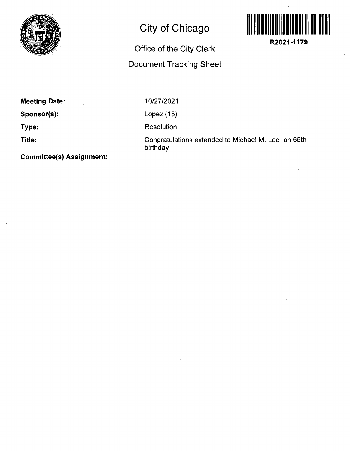

## **City of Chicago**

## **Office of the City Clerk**

## **Document Tracking Sheet**



**R2021-1179** 

| <b>Meeting Date:</b> |  |
|----------------------|--|
| Sponsor(s):          |  |
| Type:                |  |
| Title:               |  |

10/27/2021

Lopez (15)

Resolution

Congratulations extended to Michael M. Lee on 65th birthday

**Committee(s) Assignment:**